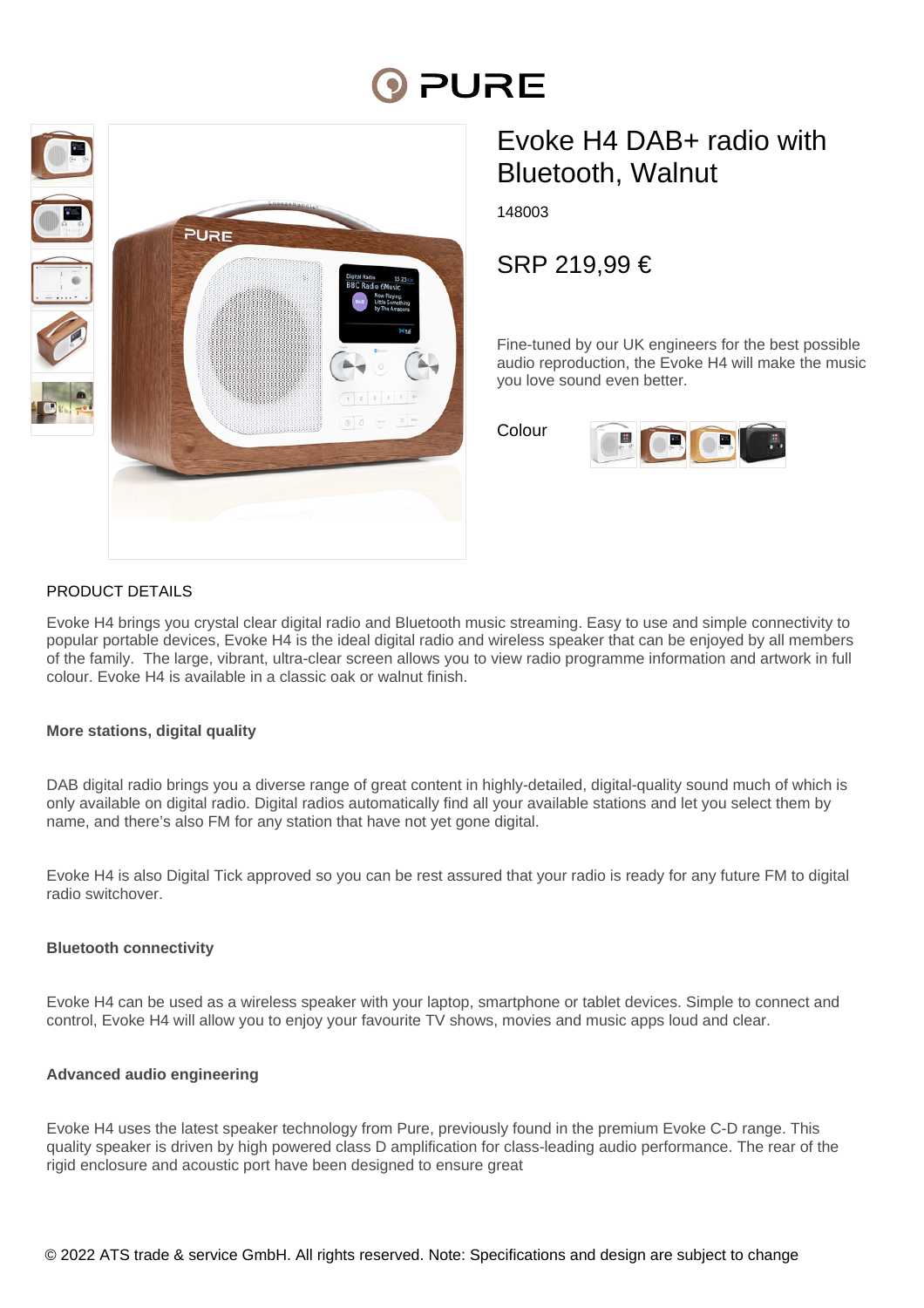# **PURE**



# Evoke H4 DAB+ radio with Bluetooth, Walnut

148003

SRP 219,99 €

Fine-tuned by our UK engineers for the best possible audio reproduction, the Evoke H4 will make the music you love sound even better.

Colour



# PRODUCT DETAILS

Evoke H4 brings you crystal clear digital radio and Bluetooth music streaming. Easy to use and simple connectivity to popular portable devices, Evoke H4 is the ideal digital radio and wireless speaker that can be enjoyed by all members of the family. The large, vibrant, ultra-clear screen allows you to view radio programme information and artwork in full colour. Evoke H4 is available in a classic oak or walnut finish.

# **More stations, digital quality**

DAB digital radio brings you a diverse range of great content in highly-detailed, digital-quality sound much of which is only available on digital radio. Digital radios automatically find all your available stations and let you select them by name, and there's also FM for any station that have not yet gone digital.

Evoke H4 is also Digital Tick approved so you can be rest assured that your radio is ready for any future FM to digital radio switchover.

#### **Bluetooth connectivity**

Evoke H4 can be used as a wireless speaker with your laptop, smartphone or tablet devices. Simple to connect and control, Evoke H4 will allow you to enjoy your favourite TV shows, movies and music apps loud and clear.

# **Advanced audio engineering**

Evoke H4 uses the latest speaker technology from Pure, previously found in the premium Evoke C-D range. This quality speaker is driven by high powered class D amplification for class-leading audio performance. The rear of the rigid enclosure and acoustic port have been designed to ensure great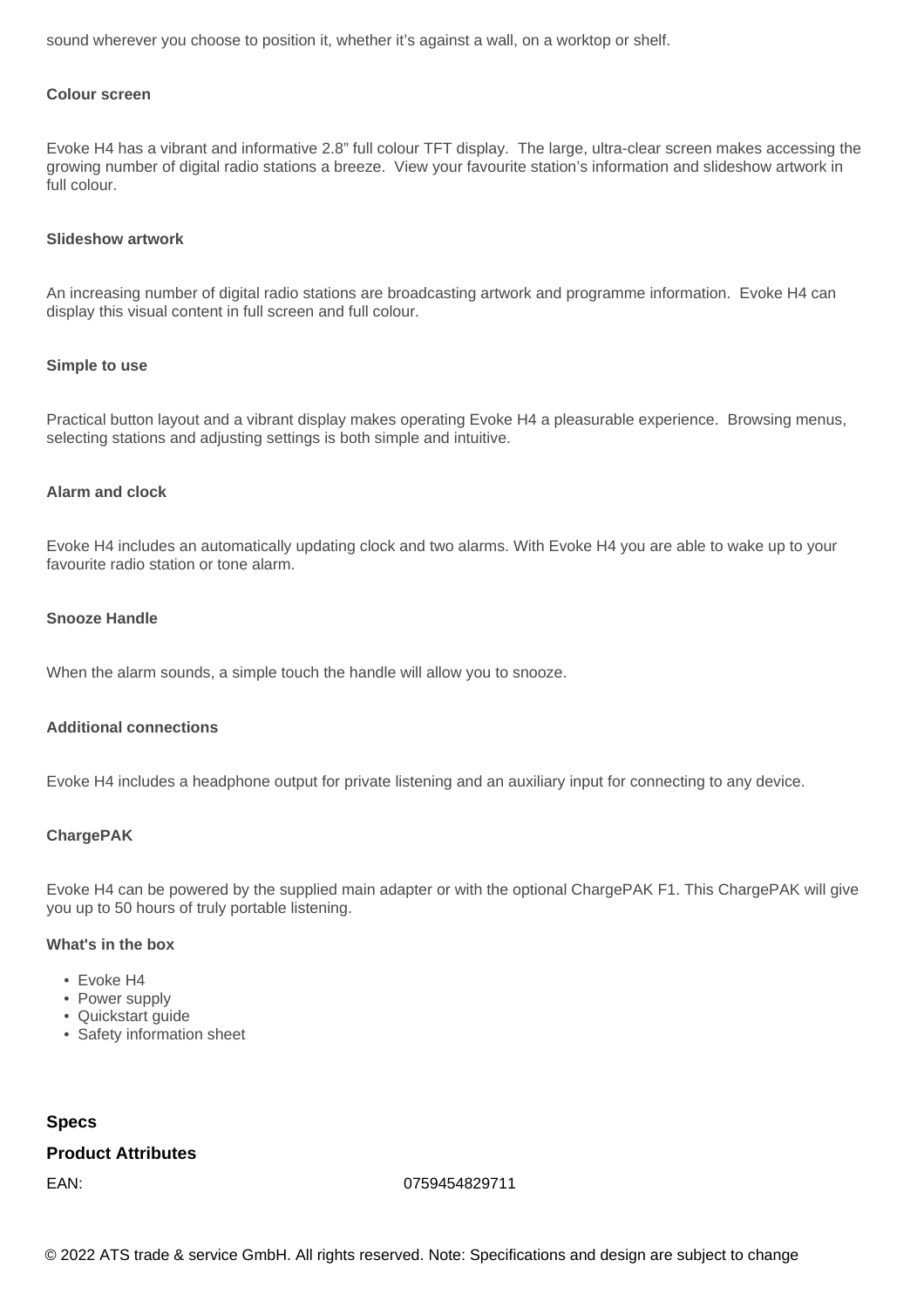sound wherever you choose to position it, whether it's against a wall, on a worktop or shelf.

## **Colour screen**

Evoke H4 has a vibrant and informative 2.8" full colour TFT display. The large, ultra-clear screen makes accessing the growing number of digital radio stations a breeze. View your favourite station's information and slideshow artwork in full colour.

#### **Slideshow artwork**

An increasing number of digital radio stations are broadcasting artwork and programme information. Evoke H4 can display this visual content in full screen and full colour.

#### **Simple to use**

Practical button layout and a vibrant display makes operating Evoke H4 a pleasurable experience. Browsing menus, selecting stations and adjusting settings is both simple and intuitive.

#### **Alarm and clock**

Evoke H4 includes an automatically updating clock and two alarms. With Evoke H4 you are able to wake up to your favourite radio station or tone alarm.

#### **Snooze Handle**

When the alarm sounds, a simple touch the handle will allow you to snooze.

#### **Additional connections**

Evoke H4 includes a headphone output for private listening and an auxiliary input for connecting to any device.

#### **ChargePAK**

Evoke H4 can be powered by the supplied main adapter or with the optional ChargePAK F1. This ChargePAK will give you up to 50 hours of truly portable listening.

## **What's in the box**

- Evoke H4
- Power supply
- Quickstart quide
- Safety information sheet

#### **Specs**

# **Product Attributes**

EAN: 0759454829711